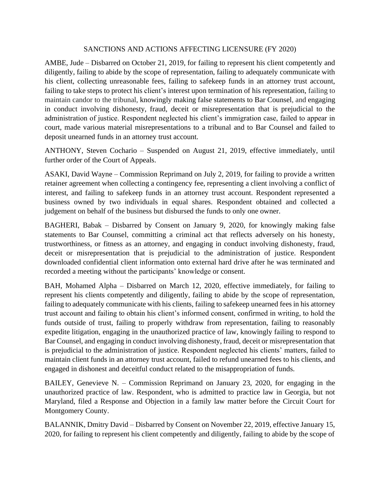## SANCTIONS AND ACTIONS AFFECTING LICENSURE (FY 2020)

AMBE, Jude – Disbarred on October 21, 2019, for failing to represent his client competently and diligently, failing to abide by the scope of representation, failing to adequately communicate with his client, collecting unreasonable fees, failing to safekeep funds in an attorney trust account, failing to take steps to protect his client's interest upon termination of his representation, failing to maintain candor to the tribunal, knowingly making false statements to Bar Counsel, and engaging in conduct involving dishonesty, fraud, deceit or misrepresentation that is prejudicial to the administration of justice. Respondent neglected his client's immigration case, failed to appear in court, made various material misrepresentations to a tribunal and to Bar Counsel and failed to deposit unearned funds in an attorney trust account.

ANTHONY, Steven Cochario – Suspended on August 21, 2019, effective immediately, until further order of the Court of Appeals.

ASAKI, David Wayne – Commission Reprimand on July 2, 2019, for failing to provide a written retainer agreement when collecting a contingency fee, representing a client involving a conflict of interest, and failing to safekeep funds in an attorney trust account. Respondent represented a business owned by two individuals in equal shares. Respondent obtained and collected a judgement on behalf of the business but disbursed the funds to only one owner.

BAGHERI, Babak – Disbarred by Consent on January 9, 2020, for knowingly making false statements to Bar Counsel, committing a criminal act that reflects adversely on his honesty, trustworthiness, or fitness as an attorney, and engaging in conduct involving dishonesty, fraud, deceit or misrepresentation that is prejudicial to the administration of justice. Respondent downloaded confidential client information onto external hard drive after he was terminated and recorded a meeting without the participants' knowledge or consent.

BAH, Mohamed Alpha – Disbarred on March 12, 2020, effective immediately, for failing to represent his clients competently and diligently, failing to abide by the scope of representation, failing to adequately communicate with his clients, failing to safekeep unearned fees in his attorney trust account and failing to obtain his client's informed consent, confirmed in writing, to hold the funds outside of trust, failing to properly withdraw from representation, failing to reasonably expedite litigation, engaging in the unauthorized practice of law, knowingly failing to respond to Bar Counsel, and engaging in conduct involving dishonesty, fraud, deceit or misrepresentation that is prejudicial to the administration of justice. Respondent neglected his clients' matters, failed to maintain client funds in an attorney trust account, failed to refund unearned fees to his clients, and engaged in dishonest and deceitful conduct related to the misappropriation of funds.

BAILEY, Genevieve N. – Commission Reprimand on January 23, 2020, for engaging in the unauthorized practice of law. Respondent, who is admitted to practice law in Georgia, but not Maryland, filed a Response and Objection in a family law matter before the Circuit Court for Montgomery County.

BALANNIK, Dmitry David – Disbarred by Consent on November 22, 2019, effective January 15, 2020, for failing to represent his client competently and diligently, failing to abide by the scope of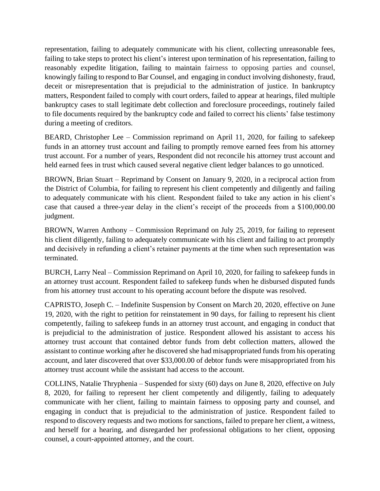representation, failing to adequately communicate with his client, collecting unreasonable fees, failing to take steps to protect his client's interest upon termination of his representation, failing to reasonably expedite litigation, failing to maintain fairness to opposing parties and counsel, knowingly failing to respond to Bar Counsel, and engaging in conduct involving dishonesty, fraud, deceit or misrepresentation that is prejudicial to the administration of justice. In bankruptcy matters, Respondent failed to comply with court orders, failed to appear at hearings, filed multiple bankruptcy cases to stall legitimate debt collection and foreclosure proceedings, routinely failed to file documents required by the bankruptcy code and failed to correct his clients' false testimony during a meeting of creditors.

BEARD, Christopher Lee – Commission reprimand on April 11, 2020, for failing to safekeep funds in an attorney trust account and failing to promptly remove earned fees from his attorney trust account. For a number of years, Respondent did not reconcile his attorney trust account and held earned fees in trust which caused several negative client ledger balances to go unnoticed.

BROWN, Brian Stuart – Reprimand by Consent on January 9, 2020, in a reciprocal action from the District of Columbia, for failing to represent his client competently and diligently and failing to adequately communicate with his client. Respondent failed to take any action in his client's case that caused a three-year delay in the client's receipt of the proceeds from a \$100,000.00 judgment.

BROWN, Warren Anthony – Commission Reprimand on July 25, 2019, for failing to represent his client diligently, failing to adequately communicate with his client and failing to act promptly and decisively in refunding a client's retainer payments at the time when such representation was terminated.

BURCH, Larry Neal – Commission Reprimand on April 10, 2020, for failing to safekeep funds in an attorney trust account. Respondent failed to safekeep funds when he disbursed disputed funds from his attorney trust account to his operating account before the dispute was resolved.

CAPRISTO, Joseph C. – Indefinite Suspension by Consent on March 20, 2020, effective on June 19, 2020, with the right to petition for reinstatement in 90 days, for failing to represent his client competently, failing to safekeep funds in an attorney trust account, and engaging in conduct that is prejudicial to the administration of justice. Respondent allowed his assistant to access his attorney trust account that contained debtor funds from debt collection matters, allowed the assistant to continue working after he discovered she had misappropriated funds from his operating account, and later discovered that over \$33,000.00 of debtor funds were misappropriated from his attorney trust account while the assistant had access to the account.

COLLINS, Natalie Thryphenia – Suspended for sixty (60) days on June 8, 2020, effective on July 8, 2020, for failing to represent her client competently and diligently, failing to adequately communicate with her client, failing to maintain fairness to opposing party and counsel, and engaging in conduct that is prejudicial to the administration of justice. Respondent failed to respond to discovery requests and two motions for sanctions, failed to prepare her client, a witness, and herself for a hearing, and disregarded her professional obligations to her client, opposing counsel, a court-appointed attorney, and the court.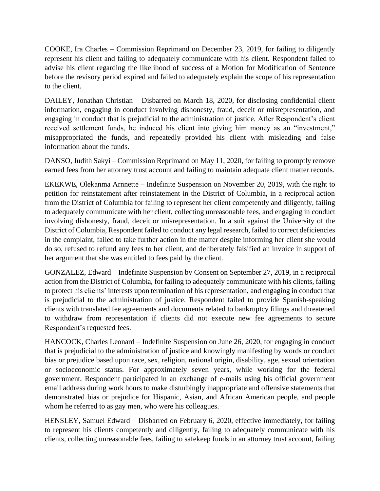COOKE, Ira Charles – Commission Reprimand on December 23, 2019, for failing to diligently represent his client and failing to adequately communicate with his client. Respondent failed to advise his client regarding the likelihood of success of a Motion for Modification of Sentence before the revisory period expired and failed to adequately explain the scope of his representation to the client.

DAILEY, Jonathan Christian – Disbarred on March 18, 2020, for disclosing confidential client information, engaging in conduct involving dishonesty, fraud, deceit or misrepresentation, and engaging in conduct that is prejudicial to the administration of justice. After Respondent's client received settlement funds, he induced his client into giving him money as an "investment," misappropriated the funds, and repeatedly provided his client with misleading and false information about the funds.

DANSO, Judith Sakyi – Commission Reprimand on May 11, 2020, for failing to promptly remove earned fees from her attorney trust account and failing to maintain adequate client matter records.

EKEKWE, Olekanma Arnnette – Indefinite Suspension on November 20, 2019, with the right to petition for reinstatement after reinstatement in the District of Columbia, in a reciprocal action from the District of Columbia for failing to represent her client competently and diligently, failing to adequately communicate with her client, collecting unreasonable fees, and engaging in conduct involving dishonesty, fraud, deceit or misrepresentation. In a suit against the University of the District of Columbia, Respondent failed to conduct any legal research, failed to correct deficiencies in the complaint, failed to take further action in the matter despite informing her client she would do so, refused to refund any fees to her client, and deliberately falsified an invoice in support of her argument that she was entitled to fees paid by the client.

GONZALEZ, Edward – Indefinite Suspension by Consent on September 27, 2019, in a reciprocal action from the District of Columbia, for failing to adequately communicate with his clients, failing to protect his clients' interests upon termination of his representation, and engaging in conduct that is prejudicial to the administration of justice. Respondent failed to provide Spanish-speaking clients with translated fee agreements and documents related to bankruptcy filings and threatened to withdraw from representation if clients did not execute new fee agreements to secure Respondent's requested fees.

HANCOCK, Charles Leonard – Indefinite Suspension on June 26, 2020, for engaging in conduct that is prejudicial to the administration of justice and knowingly manifesting by words or conduct bias or prejudice based upon race, sex, religion, national origin, disability, age, sexual orientation or socioeconomic status. For approximately seven years, while working for the federal government, Respondent participated in an exchange of e-mails using his official government email address during work hours to make disturbingly inappropriate and offensive statements that demonstrated bias or prejudice for Hispanic, Asian, and African American people, and people whom he referred to as gay men, who were his colleagues.

HENSLEY, Samuel Edward – Disbarred on February 6, 2020, effective immediately, for failing to represent his clients competently and diligently, failing to adequately communicate with his clients, collecting unreasonable fees, failing to safekeep funds in an attorney trust account, failing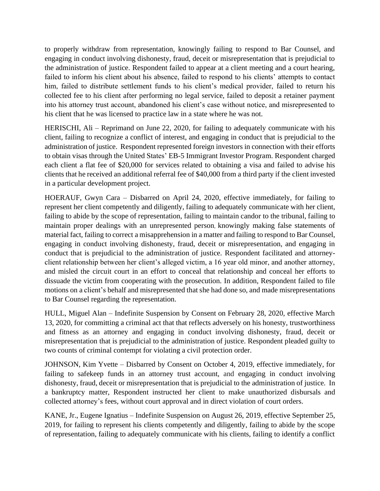to properly withdraw from representation, knowingly failing to respond to Bar Counsel, and engaging in conduct involving dishonesty, fraud, deceit or misrepresentation that is prejudicial to the administration of justice. Respondent failed to appear at a client meeting and a court hearing, failed to inform his client about his absence, failed to respond to his clients' attempts to contact him, failed to distribute settlement funds to his client's medical provider, failed to return his collected fee to his client after performing no legal service, failed to deposit a retainer payment into his attorney trust account, abandoned his client's case without notice, and misrepresented to his client that he was licensed to practice law in a state where he was not.

HERISCHI, Ali – Reprimand on June 22, 2020, for failing to adequately communicate with his client, failing to recognize a conflict of interest, and engaging in conduct that is prejudicial to the administration of justice. Respondent represented foreign investors in connection with their efforts to obtain visas through the United States' EB-5 Immigrant Investor Program. Respondent charged each client a flat fee of \$20,000 for services related to obtaining a visa and failed to advise his clients that he received an additional referral fee of \$40,000 from a third party if the client invested in a particular development project.

HOERAUF, Gwyn Cara – Disbarred on April 24, 2020, effective immediately, for failing to represent her client competently and diligently, failing to adequately communicate with her client, failing to abide by the scope of representation, failing to maintain candor to the tribunal, failing to maintain proper dealings with an unrepresented person, knowingly making false statements of material fact, failing to correct a misapprehension in a matter and failing to respond to Bar Counsel, engaging in conduct involving dishonesty, fraud, deceit or misrepresentation, and engaging in conduct that is prejudicial to the administration of justice. Respondent facilitated and attorneyclient relationship between her client's alleged victim, a 16 year old minor, and another attorney, and misled the circuit court in an effort to conceal that relationship and conceal her efforts to dissuade the victim from cooperating with the prosecution. In addition, Respondent failed to file motions on a client's behalf and misrepresented that she had done so, and made misrepresentations to Bar Counsel regarding the representation.

HULL, Miguel Alan – Indefinite Suspension by Consent on February 28, 2020, effective March 13, 2020, for committing a criminal act that that reflects adversely on his honesty, trustworthiness and fitness as an attorney and engaging in conduct involving dishonesty, fraud, deceit or misrepresentation that is prejudicial to the administration of justice. Respondent pleaded guilty to two counts of criminal contempt for violating a civil protection order.

JOHNSON, Kim Yvette – Disbarred by Consent on October 4, 2019, effective immediately, for failing to safekeep funds in an attorney trust account, and engaging in conduct involving dishonesty, fraud, deceit or misrepresentation that is prejudicial to the administration of justice. In a bankruptcy matter, Respondent instructed her client to make unauthorized disbursals and collected attorney's fees, without court approval and in direct violation of court orders.

KANE, Jr., Eugene Ignatius – Indefinite Suspension on August 26, 2019, effective September 25, 2019, for failing to represent his clients competently and diligently, failing to abide by the scope of representation, failing to adequately communicate with his clients, failing to identify a conflict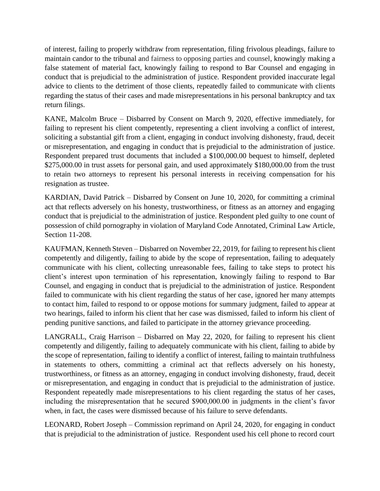of interest, failing to properly withdraw from representation, filing frivolous pleadings, failure to maintain candor to the tribunal and fairness to opposing parties and counsel, knowingly making a false statement of material fact, knowingly failing to respond to Bar Counsel and engaging in conduct that is prejudicial to the administration of justice. Respondent provided inaccurate legal advice to clients to the detriment of those clients, repeatedly failed to communicate with clients regarding the status of their cases and made misrepresentations in his personal bankruptcy and tax return filings.

KANE, Malcolm Bruce – Disbarred by Consent on March 9, 2020, effective immediately, for failing to represent his client competently, representing a client involving a conflict of interest, soliciting a substantial gift from a client, engaging in conduct involving dishonesty, fraud, deceit or misrepresentation, and engaging in conduct that is prejudicial to the administration of justice. Respondent prepared trust documents that included a \$100,000.00 bequest to himself, depleted \$275,000.00 in trust assets for personal gain, and used approximately \$180,000.00 from the trust to retain two attorneys to represent his personal interests in receiving compensation for his resignation as trustee.

KARDIAN, David Patrick – Disbarred by Consent on June 10, 2020, for committing a criminal act that reflects adversely on his honesty, trustworthiness, or fitness as an attorney and engaging conduct that is prejudicial to the administration of justice. Respondent pled guilty to one count of possession of child pornography in violation of Maryland Code Annotated, Criminal Law Article, Section 11-208.

KAUFMAN, Kenneth Steven – Disbarred on November 22, 2019, for failing to represent his client competently and diligently, failing to abide by the scope of representation, failing to adequately communicate with his client, collecting unreasonable fees, failing to take steps to protect his client's interest upon termination of his representation, knowingly failing to respond to Bar Counsel, and engaging in conduct that is prejudicial to the administration of justice. Respondent failed to communicate with his client regarding the status of her case, ignored her many attempts to contact him, failed to respond to or oppose motions for summary judgment, failed to appear at two hearings, failed to inform his client that her case was dismissed, failed to inform his client of pending punitive sanctions, and failed to participate in the attorney grievance proceeding.

LANGRALL, Craig Harrison – Disbarred on May 22, 2020, for failing to represent his client competently and diligently, failing to adequately communicate with his client, failing to abide by the scope of representation, failing to identify a conflict of interest, failing to maintain truthfulness in statements to others, committing a criminal act that reflects adversely on his honesty, trustworthiness, or fitness as an attorney, engaging in conduct involving dishonesty, fraud, deceit or misrepresentation, and engaging in conduct that is prejudicial to the administration of justice. Respondent repeatedly made misrepresentations to his client regarding the status of her cases, including the misrepresentation that he secured \$900,000.00 in judgments in the client's favor when, in fact, the cases were dismissed because of his failure to serve defendants.

LEONARD, Robert Joseph – Commission reprimand on April 24, 2020, for engaging in conduct that is prejudicial to the administration of justice. Respondent used his cell phone to record court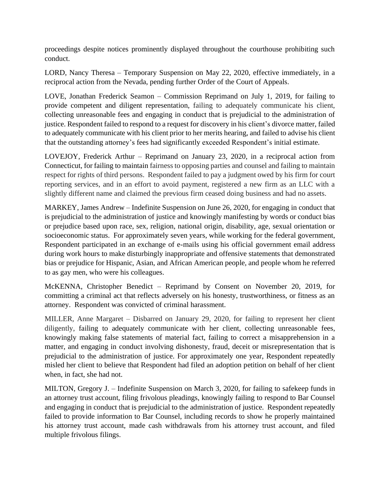proceedings despite notices prominently displayed throughout the courthouse prohibiting such conduct.

LORD, Nancy Theresa – Temporary Suspension on May 22, 2020, effective immediately, in a reciprocal action from the Nevada, pending further Order of the Court of Appeals.

LOVE, Jonathan Frederick Seamon – Commission Reprimand on July 1, 2019, for failing to provide competent and diligent representation, failing to adequately communicate his client, collecting unreasonable fees and engaging in conduct that is prejudicial to the administration of justice. Respondent failed to respond to a request for discovery in his client's divorce matter, failed to adequately communicate with his client prior to her merits hearing, and failed to advise his client that the outstanding attorney's fees had significantly exceeded Respondent's initial estimate.

LOVEJOY, Frederick Arthur – Reprimand on January 23, 2020, in a reciprocal action from Connecticut, for failing to maintain fairness to opposing parties and counsel and failing to maintain respect for rights of third persons. Respondent failed to pay a judgment owed by his firm for court reporting services, and in an effort to avoid payment, registered a new firm as an LLC with a slightly different name and claimed the previous firm ceased doing business and had no assets.

MARKEY, James Andrew – Indefinite Suspension on June 26, 2020, for engaging in conduct that is prejudicial to the administration of justice and knowingly manifesting by words or conduct bias or prejudice based upon race, sex, religion, national origin, disability, age, sexual orientation or socioeconomic status. For approximately seven years, while working for the federal government, Respondent participated in an exchange of e-mails using his official government email address during work hours to make disturbingly inappropriate and offensive statements that demonstrated bias or prejudice for Hispanic, Asian, and African American people, and people whom he referred to as gay men, who were his colleagues.

McKENNA, Christopher Benedict – Reprimand by Consent on November 20, 2019, for committing a criminal act that reflects adversely on his honesty, trustworthiness, or fitness as an attorney. Respondent was convicted of criminal harassment.

MILLER, Anne Margaret – Disbarred on January 29, 2020, for failing to represent her client diligently, failing to adequately communicate with her client, collecting unreasonable fees, knowingly making false statements of material fact, failing to correct a misapprehension in a matter, and engaging in conduct involving dishonesty, fraud, deceit or misrepresentation that is prejudicial to the administration of justice. For approximately one year, Respondent repeatedly misled her client to believe that Respondent had filed an adoption petition on behalf of her client when, in fact, she had not.

MILTON, Gregory J. – Indefinite Suspension on March 3, 2020, for failing to safekeep funds in an attorney trust account, filing frivolous pleadings, knowingly failing to respond to Bar Counsel and engaging in conduct that is prejudicial to the administration of justice. Respondent repeatedly failed to provide information to Bar Counsel, including records to show he properly maintained his attorney trust account, made cash withdrawals from his attorney trust account, and filed multiple frivolous filings.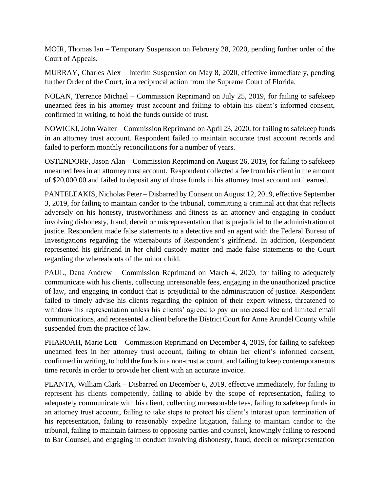MOIR, Thomas Ian – Temporary Suspension on February 28, 2020, pending further order of the Court of Appeals.

MURRAY, Charles Alex – Interim Suspension on May 8, 2020, effective immediately, pending further Order of the Court, in a reciprocal action from the Supreme Court of Florida.

NOLAN, Terrence Michael – Commission Reprimand on July 25, 2019, for failing to safekeep unearned fees in his attorney trust account and failing to obtain his client's informed consent, confirmed in writing, to hold the funds outside of trust.

NOWICKI,John Walter – Commission Reprimand on April 23, 2020, for failing to safekeep funds in an attorney trust account. Respondent failed to maintain accurate trust account records and failed to perform monthly reconciliations for a number of years.

OSTENDORF, Jason Alan – Commission Reprimand on August 26, 2019, for failing to safekeep unearned fees in an attorney trust account. Respondent collected a fee from his client in the amount of \$20,000.00 and failed to deposit any of those funds in his attorney trust account until earned.

PANTELEAKIS, Nicholas Peter – Disbarred by Consent on August 12, 2019, effective September 3, 2019, for failing to maintain candor to the tribunal, committing a criminal act that that reflects adversely on his honesty, trustworthiness and fitness as an attorney and engaging in conduct involving dishonesty, fraud, deceit or misrepresentation that is prejudicial to the administration of justice. Respondent made false statements to a detective and an agent with the Federal Bureau of Investigations regarding the whereabouts of Respondent's girlfriend. In addition, Respondent represented his girlfriend in her child custody matter and made false statements to the Court regarding the whereabouts of the minor child.

PAUL, Dana Andrew – Commission Reprimand on March 4, 2020, for failing to adequately communicate with his clients, collecting unreasonable fees, engaging in the unauthorized practice of law, and engaging in conduct that is prejudicial to the administration of justice. Respondent failed to timely advise his clients regarding the opinion of their expert witness, threatened to withdraw his representation unless his clients' agreed to pay an increased fee and limited email communications, and represented a client before the District Court for Anne Arundel County while suspended from the practice of law.

PHAROAH, Marie Lott – Commission Reprimand on December 4, 2019, for failing to safekeep unearned fees in her attorney trust account, failing to obtain her client's informed consent, confirmed in writing, to hold the funds in a non-trust account, and failing to keep contemporaneous time records in order to provide her client with an accurate invoice.

PLANTA, William Clark – Disbarred on December 6, 2019, effective immediately, for failing to represent his clients competently, failing to abide by the scope of representation, failing to adequately communicate with his client, collecting unreasonable fees, failing to safekeep funds in an attorney trust account, failing to take steps to protect his client's interest upon termination of his representation, failing to reasonably expedite litigation, failing to maintain candor to the tribunal, failing to maintain fairness to opposing parties and counsel, knowingly failing to respond to Bar Counsel, and engaging in conduct involving dishonesty, fraud, deceit or misrepresentation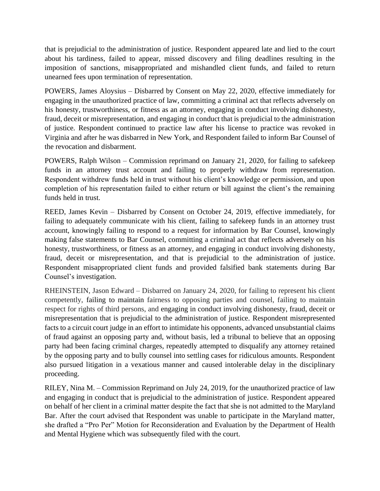that is prejudicial to the administration of justice. Respondent appeared late and lied to the court about his tardiness, failed to appear, missed discovery and filing deadlines resulting in the imposition of sanctions, misappropriated and mishandled client funds, and failed to return unearned fees upon termination of representation.

POWERS, James Aloysius – Disbarred by Consent on May 22, 2020, effective immediately for engaging in the unauthorized practice of law, committing a criminal act that reflects adversely on his honesty, trustworthiness, or fitness as an attorney, engaging in conduct involving dishonesty, fraud, deceit or misrepresentation, and engaging in conduct that is prejudicial to the administration of justice. Respondent continued to practice law after his license to practice was revoked in Virginia and after he was disbarred in New York, and Respondent failed to inform Bar Counsel of the revocation and disbarment.

POWERS, Ralph Wilson – Commission reprimand on January 21, 2020, for failing to safekeep funds in an attorney trust account and failing to properly withdraw from representation. Respondent withdrew funds held in trust without his client's knowledge or permission, and upon completion of his representation failed to either return or bill against the client's the remaining funds held in trust.

REED, James Kevin – Disbarred by Consent on October 24, 2019, effective immediately, for failing to adequately communicate with his client, failing to safekeep funds in an attorney trust account, knowingly failing to respond to a request for information by Bar Counsel, knowingly making false statements to Bar Counsel, committing a criminal act that reflects adversely on his honesty, trustworthiness, or fitness as an attorney, and engaging in conduct involving dishonesty, fraud, deceit or misrepresentation, and that is prejudicial to the administration of justice. Respondent misappropriated client funds and provided falsified bank statements during Bar Counsel's investigation.

RHEINSTEIN, Jason Edward – Disbarred on January 24, 2020, for failing to represent his client competently, failing to maintain fairness to opposing parties and counsel, failing to maintain respect for rights of third persons, and engaging in conduct involving dishonesty, fraud, deceit or misrepresentation that is prejudicial to the administration of justice. Respondent misrepresented facts to a circuit court judge in an effort to intimidate his opponents, advanced unsubstantial claims of fraud against an opposing party and, without basis, led a tribunal to believe that an opposing party had been facing criminal charges, repeatedly attempted to disqualify any attorney retained by the opposing party and to bully counsel into settling cases for ridiculous amounts. Respondent also pursued litigation in a vexatious manner and caused intolerable delay in the disciplinary proceeding.

RILEY, Nina M. – Commission Reprimand on July 24, 2019, for the unauthorized practice of law and engaging in conduct that is prejudicial to the administration of justice. Respondent appeared on behalf of her client in a criminal matter despite the fact that she is not admitted to the Maryland Bar. After the court advised that Respondent was unable to participate in the Maryland matter, she drafted a "Pro Per" Motion for Reconsideration and Evaluation by the Department of Health and Mental Hygiene which was subsequently filed with the court.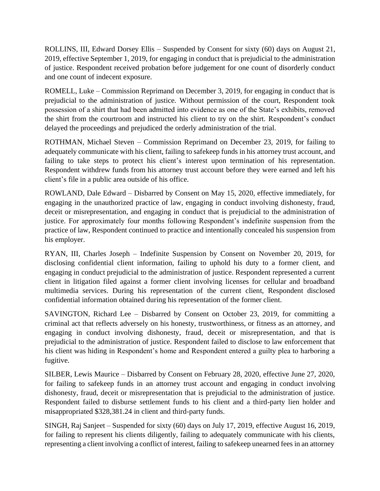ROLLINS, III, Edward Dorsey Ellis – Suspended by Consent for sixty (60) days on August 21, 2019, effective September 1, 2019, for engaging in conduct that is prejudicial to the administration of justice. Respondent received probation before judgement for one count of disorderly conduct and one count of indecent exposure.

ROMELL, Luke – Commission Reprimand on December 3, 2019, for engaging in conduct that is prejudicial to the administration of justice. Without permission of the court, Respondent took possession of a shirt that had been admitted into evidence as one of the State's exhibits, removed the shirt from the courtroom and instructed his client to try on the shirt. Respondent's conduct delayed the proceedings and prejudiced the orderly administration of the trial.

ROTHMAN, Michael Steven – Commission Reprimand on December 23, 2019, for failing to adequately communicate with his client, failing to safekeep funds in his attorney trust account, and failing to take steps to protect his client's interest upon termination of his representation. Respondent withdrew funds from his attorney trust account before they were earned and left his client's file in a public area outside of his office.

ROWLAND, Dale Edward – Disbarred by Consent on May 15, 2020, effective immediately, for engaging in the unauthorized practice of law, engaging in conduct involving dishonesty, fraud, deceit or misrepresentation, and engaging in conduct that is prejudicial to the administration of justice. For approximately four months following Respondent's indefinite suspension from the practice of law, Respondent continued to practice and intentionally concealed his suspension from his employer.

RYAN, III, Charles Joseph – Indefinite Suspension by Consent on November 20, 2019, for disclosing confidential client information, failing to uphold his duty to a former client, and engaging in conduct prejudicial to the administration of justice. Respondent represented a current client in litigation filed against a former client involving licenses for cellular and broadband multimedia services. During his representation of the current client, Respondent disclosed confidential information obtained during his representation of the former client.

SAVINGTON, Richard Lee – Disbarred by Consent on October 23, 2019, for committing a criminal act that reflects adversely on his honesty, trustworthiness, or fitness as an attorney, and engaging in conduct involving dishonesty, fraud, deceit or misrepresentation, and that is prejudicial to the administration of justice. Respondent failed to disclose to law enforcement that his client was hiding in Respondent's home and Respondent entered a guilty plea to harboring a fugitive.

SILBER, Lewis Maurice – Disbarred by Consent on February 28, 2020, effective June 27, 2020, for failing to safekeep funds in an attorney trust account and engaging in conduct involving dishonesty, fraud, deceit or misrepresentation that is prejudicial to the administration of justice. Respondent failed to disburse settlement funds to his client and a third-party lien holder and misappropriated \$328,381.24 in client and third-party funds.

SINGH, Raj Sanjeet – Suspended for sixty (60) days on July 17, 2019, effective August 16, 2019, for failing to represent his clients diligently, failing to adequately communicate with his clients, representing a client involving a conflict of interest, failing to safekeep unearned fees in an attorney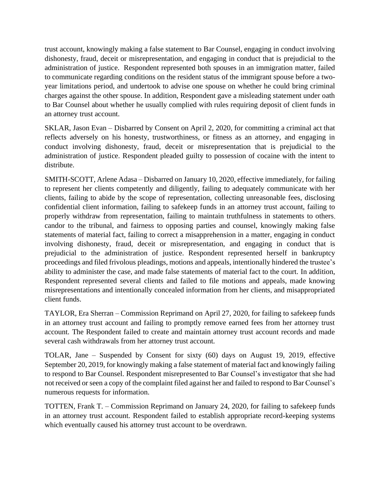trust account, knowingly making a false statement to Bar Counsel, engaging in conduct involving dishonesty, fraud, deceit or misrepresentation, and engaging in conduct that is prejudicial to the administration of justice. Respondent represented both spouses in an immigration matter, failed to communicate regarding conditions on the resident status of the immigrant spouse before a twoyear limitations period, and undertook to advise one spouse on whether he could bring criminal charges against the other spouse. In addition, Respondent gave a misleading statement under oath to Bar Counsel about whether he usually complied with rules requiring deposit of client funds in an attorney trust account.

SKLAR, Jason Evan – Disbarred by Consent on April 2, 2020, for committing a criminal act that reflects adversely on his honesty, trustworthiness, or fitness as an attorney, and engaging in conduct involving dishonesty, fraud, deceit or misrepresentation that is prejudicial to the administration of justice. Respondent pleaded guilty to possession of cocaine with the intent to distribute.

SMITH-SCOTT, Arlene Adasa – Disbarred on January 10, 2020, effective immediately, for failing to represent her clients competently and diligently, failing to adequately communicate with her clients, failing to abide by the scope of representation, collecting unreasonable fees, disclosing confidential client information, failing to safekeep funds in an attorney trust account, failing to properly withdraw from representation, failing to maintain truthfulness in statements to others, candor to the tribunal, and fairness to opposing parties and counsel, knowingly making false statements of material fact, failing to correct a misapprehension in a matter, engaging in conduct involving dishonesty, fraud, deceit or misrepresentation, and engaging in conduct that is prejudicial to the administration of justice. Respondent represented herself in bankruptcy proceedings and filed frivolous pleadings, motions and appeals, intentionally hindered the trustee's ability to administer the case, and made false statements of material fact to the court. In addition, Respondent represented several clients and failed to file motions and appeals, made knowing misrepresentations and intentionally concealed information from her clients, and misappropriated client funds.

TAYLOR, Era Sherran – Commission Reprimand on April 27, 2020, for failing to safekeep funds in an attorney trust account and failing to promptly remove earned fees from her attorney trust account. The Respondent failed to create and maintain attorney trust account records and made several cash withdrawals from her attorney trust account.

TOLAR, Jane – Suspended by Consent for sixty (60) days on August 19, 2019, effective September 20, 2019, for knowingly making a false statement of material fact and knowingly failing to respond to Bar Counsel. Respondent misrepresented to Bar Counsel's investigator that she had not received or seen a copy of the complaint filed against her and failed to respond to Bar Counsel's numerous requests for information.

TOTTEN, Frank T. – Commission Reprimand on January 24, 2020, for failing to safekeep funds in an attorney trust account. Respondent failed to establish appropriate record-keeping systems which eventually caused his attorney trust account to be overdrawn.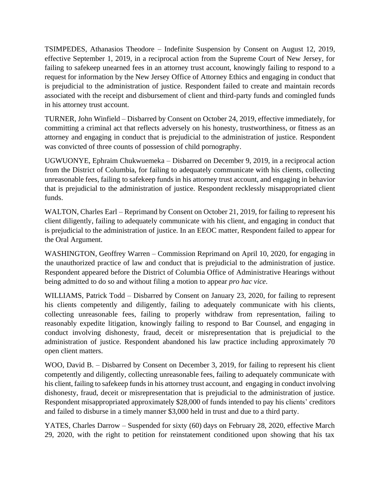TSIMPEDES, Athanasios Theodore – Indefinite Suspension by Consent on August 12, 2019, effective September 1, 2019, in a reciprocal action from the Supreme Court of New Jersey, for failing to safekeep unearned fees in an attorney trust account, knowingly failing to respond to a request for information by the New Jersey Office of Attorney Ethics and engaging in conduct that is prejudicial to the administration of justice. Respondent failed to create and maintain records associated with the receipt and disbursement of client and third-party funds and comingled funds in his attorney trust account.

TURNER, John Winfield – Disbarred by Consent on October 24, 2019, effective immediately, for committing a criminal act that reflects adversely on his honesty, trustworthiness, or fitness as an attorney and engaging in conduct that is prejudicial to the administration of justice. Respondent was convicted of three counts of possession of child pornography.

UGWUONYE, Ephraim Chukwuemeka – Disbarred on December 9, 2019, in a reciprocal action from the District of Columbia, for failing to adequately communicate with his clients, collecting unreasonable fees, failing to safekeep funds in his attorney trust account, and engaging in behavior that is prejudicial to the administration of justice. Respondent recklessly misappropriated client funds.

WALTON, Charles Earl – Reprimand by Consent on October 21, 2019, for failing to represent his client diligently, failing to adequately communicate with his client, and engaging in conduct that is prejudicial to the administration of justice. In an EEOC matter, Respondent failed to appear for the Oral Argument.

WASHINGTON, Geoffrey Warren – Commission Reprimand on April 10, 2020, for engaging in the unauthorized practice of law and conduct that is prejudicial to the administration of justice. Respondent appeared before the District of Columbia Office of Administrative Hearings without being admitted to do so and without filing a motion to appear *pro hac vice*.

WILLIAMS, Patrick Todd – Disbarred by Consent on January 23, 2020, for failing to represent his clients competently and diligently, failing to adequately communicate with his clients, collecting unreasonable fees, failing to properly withdraw from representation, failing to reasonably expedite litigation, knowingly failing to respond to Bar Counsel, and engaging in conduct involving dishonesty, fraud, deceit or misrepresentation that is prejudicial to the administration of justice. Respondent abandoned his law practice including approximately 70 open client matters.

WOO, David B. – Disbarred by Consent on December 3, 2019, for failing to represent his client competently and diligently, collecting unreasonable fees, failing to adequately communicate with his client, failing to safekeep funds in his attorney trust account, and engaging in conduct involving dishonesty, fraud, deceit or misrepresentation that is prejudicial to the administration of justice. Respondent misappropriated approximately \$28,000 of funds intended to pay his clients' creditors and failed to disburse in a timely manner \$3,000 held in trust and due to a third party.

YATES, Charles Darrow – Suspended for sixty (60) days on February 28, 2020, effective March 29, 2020, with the right to petition for reinstatement conditioned upon showing that his tax